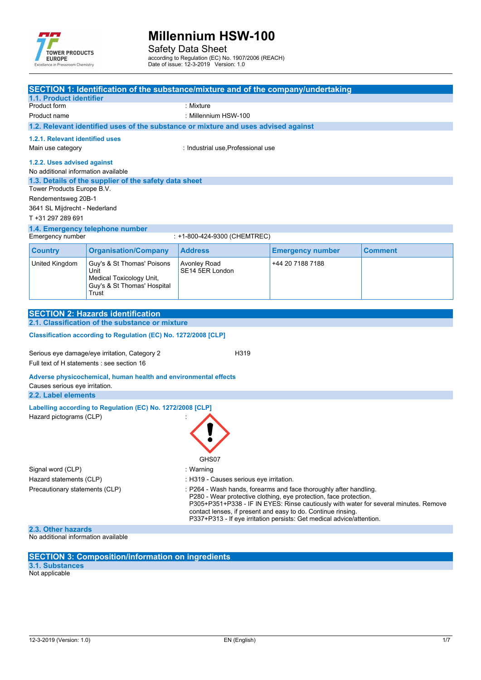

Safety Data Sheet according to Regulation (EC) No. 1907/2006 (REACH)

Date of issue: 12-3-2019 Version: 1.0

| 1.1. Product identifier                                                                                                                                                                                                                                                                                                                                                                                   |                                                                                                        | SECTION 1: Identification of the substance/mixture and of the company/undertaking |                         |                |  |  |  |
|-----------------------------------------------------------------------------------------------------------------------------------------------------------------------------------------------------------------------------------------------------------------------------------------------------------------------------------------------------------------------------------------------------------|--------------------------------------------------------------------------------------------------------|-----------------------------------------------------------------------------------|-------------------------|----------------|--|--|--|
| Product form                                                                                                                                                                                                                                                                                                                                                                                              |                                                                                                        | : Mixture                                                                         |                         |                |  |  |  |
| Product name                                                                                                                                                                                                                                                                                                                                                                                              |                                                                                                        | : Millennium HSW-100                                                              |                         |                |  |  |  |
| 1.2. Relevant identified uses of the substance or mixture and uses advised against                                                                                                                                                                                                                                                                                                                        |                                                                                                        |                                                                                   |                         |                |  |  |  |
| 1.2.1. Relevant identified uses                                                                                                                                                                                                                                                                                                                                                                           |                                                                                                        |                                                                                   |                         |                |  |  |  |
| Main use category                                                                                                                                                                                                                                                                                                                                                                                         |                                                                                                        | : Industrial use, Professional use                                                |                         |                |  |  |  |
|                                                                                                                                                                                                                                                                                                                                                                                                           |                                                                                                        |                                                                                   |                         |                |  |  |  |
| 1.2.2. Uses advised against<br>No additional information available                                                                                                                                                                                                                                                                                                                                        |                                                                                                        |                                                                                   |                         |                |  |  |  |
| Tower Products Europe B.V.                                                                                                                                                                                                                                                                                                                                                                                | 1.3. Details of the supplier of the safety data sheet                                                  |                                                                                   |                         |                |  |  |  |
| Rendementsweg 20B-1                                                                                                                                                                                                                                                                                                                                                                                       |                                                                                                        |                                                                                   |                         |                |  |  |  |
| 3641 SL Mijdrecht - Nederland                                                                                                                                                                                                                                                                                                                                                                             |                                                                                                        |                                                                                   |                         |                |  |  |  |
| T +31 297 289 691                                                                                                                                                                                                                                                                                                                                                                                         |                                                                                                        |                                                                                   |                         |                |  |  |  |
|                                                                                                                                                                                                                                                                                                                                                                                                           | 1.4. Emergency telephone number                                                                        |                                                                                   |                         |                |  |  |  |
| Emergency number                                                                                                                                                                                                                                                                                                                                                                                          |                                                                                                        | : +1-800-424-9300 (CHEMTREC)                                                      |                         |                |  |  |  |
| <b>Country</b>                                                                                                                                                                                                                                                                                                                                                                                            | <b>Organisation/Company</b>                                                                            | <b>Address</b>                                                                    | <b>Emergency number</b> | <b>Comment</b> |  |  |  |
| United Kingdom                                                                                                                                                                                                                                                                                                                                                                                            | Guy's & St Thomas' Poisons<br>Unit<br>Medical Toxicology Unit,<br>Guy's & St Thomas' Hospital<br>Trust | Avonley Road<br>SE14 5ER London                                                   | +44 20 7188 7188        |                |  |  |  |
|                                                                                                                                                                                                                                                                                                                                                                                                           |                                                                                                        |                                                                                   |                         |                |  |  |  |
|                                                                                                                                                                                                                                                                                                                                                                                                           | <b>SECTION 2: Hazards identification</b>                                                               |                                                                                   |                         |                |  |  |  |
|                                                                                                                                                                                                                                                                                                                                                                                                           | 2.1. Classification of the substance or mixture                                                        |                                                                                   |                         |                |  |  |  |
|                                                                                                                                                                                                                                                                                                                                                                                                           | Classification according to Regulation (EC) No. 1272/2008 [CLP]                                        |                                                                                   |                         |                |  |  |  |
|                                                                                                                                                                                                                                                                                                                                                                                                           | Serious eye damage/eye irritation, Category 2                                                          | H319                                                                              |                         |                |  |  |  |
|                                                                                                                                                                                                                                                                                                                                                                                                           | Full text of H statements : see section 16                                                             |                                                                                   |                         |                |  |  |  |
|                                                                                                                                                                                                                                                                                                                                                                                                           | Adverse physicochemical, human health and environmental effects                                        |                                                                                   |                         |                |  |  |  |
| Causes serious eye irritation.                                                                                                                                                                                                                                                                                                                                                                            |                                                                                                        |                                                                                   |                         |                |  |  |  |
| 2.2. Label elements                                                                                                                                                                                                                                                                                                                                                                                       |                                                                                                        |                                                                                   |                         |                |  |  |  |
|                                                                                                                                                                                                                                                                                                                                                                                                           | Labelling according to Regulation (EC) No. 1272/2008 [CLP]                                             |                                                                                   |                         |                |  |  |  |
| Hazard pictograms (CLP)                                                                                                                                                                                                                                                                                                                                                                                   |                                                                                                        |                                                                                   |                         |                |  |  |  |
| GHS07                                                                                                                                                                                                                                                                                                                                                                                                     |                                                                                                        |                                                                                   |                         |                |  |  |  |
| Signal word (CLP)                                                                                                                                                                                                                                                                                                                                                                                         |                                                                                                        | : Warning                                                                         |                         |                |  |  |  |
| Hazard statements (CLP)                                                                                                                                                                                                                                                                                                                                                                                   |                                                                                                        | : H319 - Causes serious eye irritation.                                           |                         |                |  |  |  |
| Precautionary statements (CLP)<br>: P264 - Wash hands, forearms and face thoroughly after handling.<br>P280 - Wear protective clothing, eye protection, face protection.<br>P305+P351+P338 - IF IN EYES: Rinse cautiously with water for several minutes. Remove<br>contact lenses, if present and easy to do. Continue rinsing.<br>P337+P313 - If eye irritation persists: Get medical advice/attention. |                                                                                                        |                                                                                   |                         |                |  |  |  |
| 2.3. Other hazards                                                                                                                                                                                                                                                                                                                                                                                        |                                                                                                        |                                                                                   |                         |                |  |  |  |
|                                                                                                                                                                                                                                                                                                                                                                                                           |                                                                                                        |                                                                                   |                         |                |  |  |  |

No additional information available

#### **SECTION 3: Composition/information on ingredients**

**3.1. Substances** Not applicable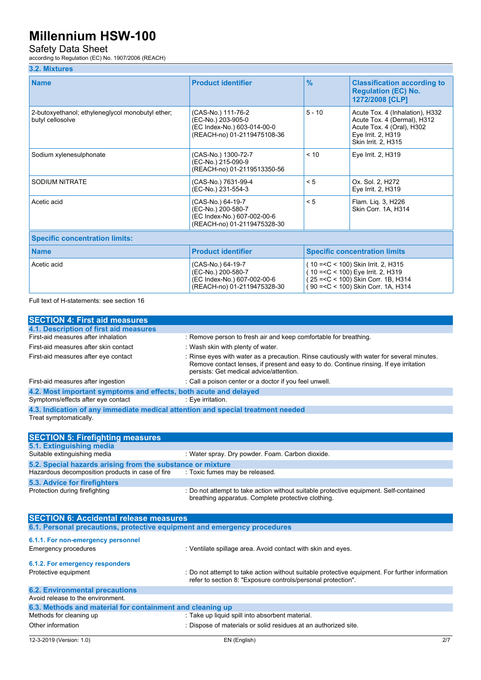### Safety Data Sheet

according to Regulation (EC) No. 1907/2006 (REACH)

### **3.2. Mixtures**

| <b>Name</b>                                                          | <b>Product identifier</b>                                                                              | $\frac{9}{6}$                        | <b>Classification according to</b><br><b>Regulation (EC) No.</b><br>1272/2008 [CLP]                                                                       |  |  |  |
|----------------------------------------------------------------------|--------------------------------------------------------------------------------------------------------|--------------------------------------|-----------------------------------------------------------------------------------------------------------------------------------------------------------|--|--|--|
| 2-butoxyethanol; ethyleneglycol monobutyl ether;<br>butyl cellosolve | (CAS-No.) 111-76-2<br>(EC-No.) 203-905-0<br>(EC Index-No.) 603-014-00-0<br>(REACH-no) 01-2119475108-36 | $5 - 10$                             | Acute Tox. 4 (Inhalation), H332<br>Acute Tox. 4 (Dermal), H312<br>Acute Tox. 4 (Oral), H302<br>Eye Irrit. 2, H319<br>Skin Irrit. 2, H315                  |  |  |  |
| Sodium xylenesulphonate                                              | (CAS-No.) 1300-72-7<br>(EC-No.) 215-090-9<br>(REACH-no) 01-2119513350-56                               | < 10                                 | Eye Irrit. 2, H319                                                                                                                                        |  |  |  |
| SODIUM NITRATE                                                       | (CAS-No.) 7631-99-4<br>(EC-No.) 231-554-3                                                              | < 5                                  | Ox. Sol. 2, H272<br>Eye Irrit. 2, H319                                                                                                                    |  |  |  |
| Acetic acid                                                          | (CAS-No.) 64-19-7<br>(EC-No.) 200-580-7<br>(EC Index-No.) 607-002-00-6<br>(REACH-no) 01-2119475328-30  | < 5                                  | Flam. Liq. 3, H226<br>Skin Corr. 1A, H314                                                                                                                 |  |  |  |
| <b>Specific concentration limits:</b>                                |                                                                                                        |                                      |                                                                                                                                                           |  |  |  |
| <b>Name</b>                                                          | <b>Product identifier</b>                                                                              | <b>Specific concentration limits</b> |                                                                                                                                                           |  |  |  |
| Acetic acid                                                          | (CAS-No.) 64-19-7<br>(EC-No.) 200-580-7<br>(EC Index-No.) 607-002-00-6<br>(REACH-no) 01-2119475328-30  |                                      | (10 = < C < 100) Skin Irrit. 2, H315<br>(10 = < C < 100) Eye Irrit. 2, H319<br>25 = < C < 100) Skin Corr. 1B, H314<br>90 = < C < 100) Skin Corr. 1A, H314 |  |  |  |

Full text of H-statements: see section 16

| <b>SECTION 4: First aid measures</b>                                            |                                                                                                                                                                                                                               |
|---------------------------------------------------------------------------------|-------------------------------------------------------------------------------------------------------------------------------------------------------------------------------------------------------------------------------|
| 4.1. Description of first aid measures                                          |                                                                                                                                                                                                                               |
| First-aid measures after inhalation                                             | : Remove person to fresh air and keep comfortable for breathing.                                                                                                                                                              |
| First-aid measures after skin contact                                           | : Wash skin with plenty of water.                                                                                                                                                                                             |
| First-aid measures after eye contact                                            | : Rinse eyes with water as a precaution. Rinse cautiously with water for several minutes.<br>Remove contact lenses, if present and easy to do. Continue rinsing. If eye irritation<br>persists: Get medical advice/attention. |
| First-aid measures after ingestion                                              | : Call a poison center or a doctor if you feel unwell.                                                                                                                                                                        |
| 4.2. Most important symptoms and effects, both acute and delayed                |                                                                                                                                                                                                                               |
| Symptoms/effects after eye contact                                              | : Eye irritation.                                                                                                                                                                                                             |
| 4.3. Indication of any immediate medical attention and special treatment needed |                                                                                                                                                                                                                               |
| Treat symptomatically.                                                          |                                                                                                                                                                                                                               |
|                                                                                 |                                                                                                                                                                                                                               |
| <b>SECTION 5: Firefighting measures</b>                                         |                                                                                                                                                                                                                               |
| 5.1. Extinguishing media                                                        |                                                                                                                                                                                                                               |
| Suitable extinguishing media                                                    | : Water spray. Dry powder. Foam. Carbon dioxide.                                                                                                                                                                              |
| 5.2. Special hazards arising from the substance or mixture                      |                                                                                                                                                                                                                               |
| Hazardous decomposition products in case of fire                                | : Toxic fumes may be released.                                                                                                                                                                                                |
| <b>5.3. Advice for firefighters</b>                                             |                                                                                                                                                                                                                               |
| Protection during firefighting                                                  | : Do not attempt to take action without suitable protective equipment. Self-contained<br>breathing apparatus. Complete protective clothing.                                                                                   |
| <b>SECTION 6: Accidental release measures</b>                                   |                                                                                                                                                                                                                               |
| 6.1. Personal precautions, protective equipment and emergency procedures        |                                                                                                                                                                                                                               |
| 6.1.1. For non-emergency personnel                                              |                                                                                                                                                                                                                               |
| <b>Emergency procedures</b>                                                     | : Ventilate spillage area. Avoid contact with skin and eyes.                                                                                                                                                                  |
|                                                                                 |                                                                                                                                                                                                                               |
| 6.1.2. For emergency responders                                                 |                                                                                                                                                                                                                               |
| Protective equipment                                                            | : Do not attempt to take action without suitable protective equipment. For further information<br>refer to section 8: "Exposure controls/personal protection".                                                                |
| <b>6.2. Environmental precautions</b>                                           |                                                                                                                                                                                                                               |
| Avoid release to the environment.                                               |                                                                                                                                                                                                                               |
| 6.3. Methods and material for containment and cleaning up                       |                                                                                                                                                                                                                               |
| Methods for cleaning up                                                         | : Take up liquid spill into absorbent material.                                                                                                                                                                               |
| Other information                                                               | : Dispose of materials or solid residues at an authorized site.                                                                                                                                                               |
|                                                                                 |                                                                                                                                                                                                                               |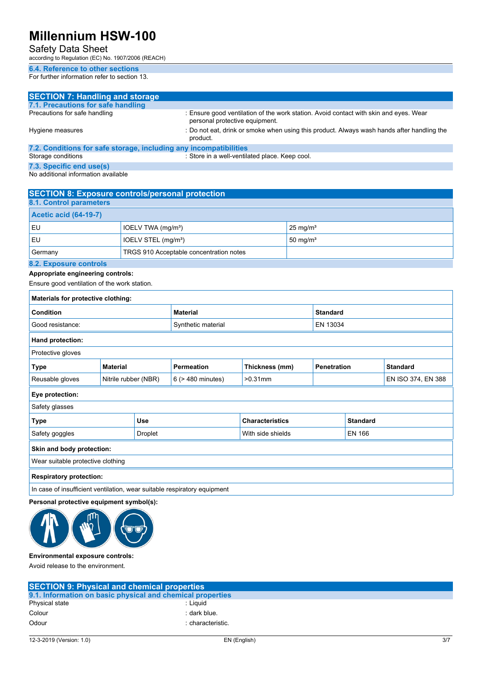## Safety Data Sheet

according to Regulation (EC) No. 1907/2006 (REACH)

### **6.4. Reference to other sections**

For further information refer to section 13.

| <b>SECTION 7: Handling and storage</b>                            |                                                                                                                         |
|-------------------------------------------------------------------|-------------------------------------------------------------------------------------------------------------------------|
| 7.1. Precautions for safe handling                                |                                                                                                                         |
| Precautions for safe handling                                     | : Ensure good ventilation of the work station. Avoid contact with skin and eyes. Wear<br>personal protective equipment. |
| Hygiene measures                                                  | : Do not eat, drink or smoke when using this product. Always wash hands after handling the<br>product.                  |
| 7.2. Conditions for safe storage, including any incompatibilities |                                                                                                                         |
| Storage conditions                                                | : Store in a well-ventilated place. Keep cool.                                                                          |
| 7.3. Specific end use(s)                                          |                                                                                                                         |

|  |  |  |  |  | No additional information available |  |
|--|--|--|--|--|-------------------------------------|--|

| <b>SECTION 8: Exposure controls/personal protection</b> |                                 |                     |  |  |  |
|---------------------------------------------------------|---------------------------------|---------------------|--|--|--|
| 8.1. Control parameters                                 |                                 |                     |  |  |  |
| <b>Acetic acid (64-19-7)</b>                            |                                 |                     |  |  |  |
| EU                                                      | IOELV TWA (mg/m <sup>3</sup> )  | $25 \text{ mg/m}^3$ |  |  |  |
| EU                                                      | IOELV STEL (mg/m <sup>3</sup> ) | $50 \text{ mg/m}^3$ |  |  |  |
| TRGS 910 Acceptable concentration notes<br>Germany      |                                 |                     |  |  |  |
| 8.2. Exposure controls                                  |                                 |                     |  |  |  |

### **8.2. Exposure controls**

**Appropriate engineering controls:**

Ensure good ventilation of the work station.

| Materials for protective clothing:                                       |                                |         |                   |                                    |                                       |  |                    |  |
|--------------------------------------------------------------------------|--------------------------------|---------|-------------------|------------------------------------|---------------------------------------|--|--------------------|--|
| <b>Condition</b>                                                         |                                |         | <b>Material</b>   |                                    | <b>Standard</b>                       |  |                    |  |
| Good resistance:                                                         | EN 13034<br>Synthetic material |         |                   |                                    |                                       |  |                    |  |
| Hand protection:                                                         |                                |         |                   |                                    |                                       |  |                    |  |
| Protective gloves                                                        |                                |         |                   |                                    |                                       |  |                    |  |
| Type                                                                     | <b>Material</b>                |         | <b>Permeation</b> | Thickness (mm)                     | <b>Penetration</b><br><b>Standard</b> |  |                    |  |
| Reusable gloves                                                          | Nitrile rubber (NBR)           |         | 6 (> 480 minutes) | $>0.31$ mm                         |                                       |  | EN ISO 374, EN 388 |  |
| Eye protection:                                                          |                                |         |                   |                                    |                                       |  |                    |  |
| Safety glasses                                                           |                                |         |                   |                                    |                                       |  |                    |  |
| <b>Use</b><br><b>Characteristics</b><br><b>Standard</b><br><b>Type</b>   |                                |         |                   |                                    |                                       |  |                    |  |
| Safety goggles                                                           |                                | Droplet |                   | With side shields<br><b>EN 166</b> |                                       |  |                    |  |
| Skin and body protection:                                                |                                |         |                   |                                    |                                       |  |                    |  |
| Wear suitable protective clothing                                        |                                |         |                   |                                    |                                       |  |                    |  |
| <b>Respiratory protection:</b>                                           |                                |         |                   |                                    |                                       |  |                    |  |
| In case of insufficient ventilation, wear suitable respiratory equipment |                                |         |                   |                                    |                                       |  |                    |  |

#### **Personal protective equipment symbol(s):**



#### **Environmental exposure controls:**

Avoid release to the environment.

| <b>SECTION 9: Physical and chemical properties</b>         |                   |
|------------------------------------------------------------|-------------------|
| 9.1. Information on basic physical and chemical properties |                   |
| Physical state                                             | : Liauid          |
| Colour                                                     | : dark blue.      |
| Odour                                                      | : characteristic. |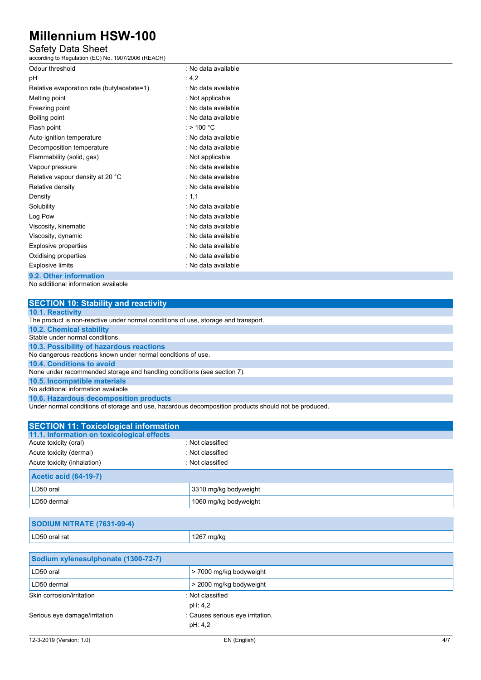## Safety Data Sheet

according to Regulation (EC) No. 1907/2006 (REACH)

| Odour threshold                            | : No data available  |
|--------------------------------------------|----------------------|
| рH                                         | : 4,2                |
| Relative evaporation rate (butylacetate=1) | : No data available  |
| Melting point                              | : Not applicable     |
| Freezing point                             | : No data available  |
| Boiling point                              | : No data available  |
| Flash point                                | : > 100 $^{\circ}$ C |
| Auto-ignition temperature                  | : No data available  |
| Decomposition temperature                  | : No data available  |
| Flammability (solid, gas)                  | : Not applicable     |
| Vapour pressure                            | : No data available  |
| Relative vapour density at 20 °C           | : No data available  |
| Relative density                           | : No data available  |
| Density                                    | : 1.1                |
| Solubility                                 | : No data available  |
| Log Pow                                    | : No data available  |
| Viscosity, kinematic                       | : No data available  |
| Viscosity, dynamic                         | : No data available  |
| Explosive properties                       | : No data available  |
| Oxidising properties                       | : No data available  |
| <b>Explosive limits</b>                    | : No data available  |
|                                            |                      |

**9.2. Other information**

No additional information available

| <b>SECTION 10: Stability and reactivity</b>                                                          |
|------------------------------------------------------------------------------------------------------|
| 10.1. Reactivity                                                                                     |
| The product is non-reactive under normal conditions of use, storage and transport.                   |
| <b>10.2. Chemical stability</b>                                                                      |
| Stable under normal conditions.                                                                      |
| 10.3. Possibility of hazardous reactions                                                             |
| No dangerous reactions known under normal conditions of use.                                         |
| 10.4. Conditions to avoid                                                                            |
| None under recommended storage and handling conditions (see section 7).                              |
| 10.5. Incompatible materials                                                                         |
| No additional information available                                                                  |
| 10.6. Hazardous decomposition products                                                               |
| Under normal conditions of storage and use, hazardous decomposition products should not be produced. |

**SECTION 11: Toxicological information 11.1. Information on toxicological effects** Acute toxicity (oral) **Example 2** : Not classified Acute toxicity (dermal) **Example 2** CHC 2014 : Not classified Acute toxicity (inhalation) **individual in the Case of the Classified** : Not classified **Acetic acid (64-19-7)** LD50 oral 2008 and 2310 mg/kg bodyweight LD50 dermal 1060 mg/kg bodyweight

| SODIUM NITRATE (7631-99-4) |            |  |  |  |
|----------------------------|------------|--|--|--|
| LD50 oral rat              | 1267 mg/kg |  |  |  |

| Sodium xylenesulphonate (1300-72-7) |                                  |     |
|-------------------------------------|----------------------------------|-----|
| LD50 oral                           | > 7000 mg/kg bodyweight          |     |
| LD50 dermal                         | > 2000 mg/kg bodyweight          |     |
| Skin corrosion/irritation           | : Not classified                 |     |
|                                     | pH: 4,2                          |     |
| Serious eye damage/irritation       | : Causes serious eye irritation. |     |
|                                     | pH: 4,2                          |     |
| 12-3-2019 (Version: 1.0)            | EN (English)                     | 4/7 |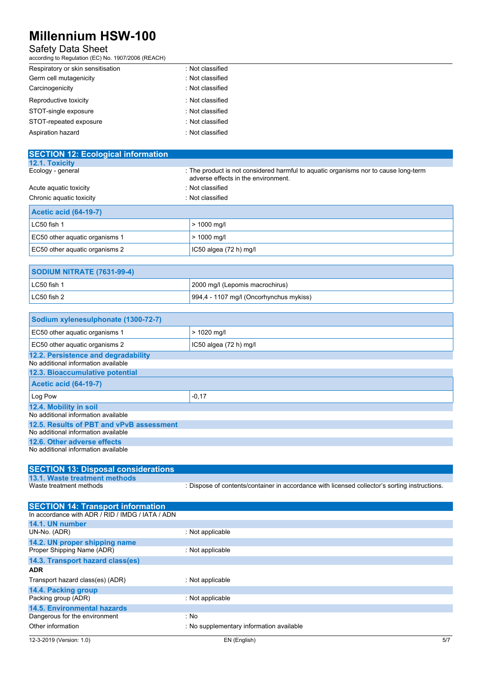## Safety Data Sheet

according to Regulation (EC) No. 1907/2006 (REACH)

| Respiratory or skin sensitisation | : Not classified |
|-----------------------------------|------------------|
| Germ cell mutagenicity            | : Not classified |
| Carcinogenicity                   | : Not classified |
| Reproductive toxicity             | : Not classified |
| STOT-single exposure              | : Not classified |
| STOT-repeated exposure            | : Not classified |
| Aspiration hazard                 | : Not classified |

| <b>SECTION 12: Ecological information</b> |                                                                                                                            |
|-------------------------------------------|----------------------------------------------------------------------------------------------------------------------------|
| 12.1. Toxicity                            |                                                                                                                            |
| Ecology - general                         | : The product is not considered harmful to aguatic organisms nor to cause long-term<br>adverse effects in the environment. |
| Acute aguatic toxicity                    | : Not classified                                                                                                           |
| Chronic aquatic toxicity                  | : Not classified                                                                                                           |
| <b>Acetic acid (64-19-7)</b>              |                                                                                                                            |
| LC50 fish 1                               | $> 1000$ mg/l                                                                                                              |
| EC50 other aquatic organisms 1            | $> 1000$ mg/l                                                                                                              |
| EC50 other aquatic organisms 2            | IC50 algea $(72 h)$ mg/l                                                                                                   |

| <b>SODIUM NITRATE (7631-99-4)</b> |                                         |
|-----------------------------------|-----------------------------------------|
| $LC50$ fish 1                     | 2000 mg/l (Lepomis macrochirus)         |
| $LC50$ fish 2                     | 994,4 - 1107 mg/l (Oncorhynchus mykiss) |

| Sodium xylenesulphonate (1300-72-7)      |                          |
|------------------------------------------|--------------------------|
| EC50 other aquatic organisms 1           | $> 1020$ mg/l            |
| EC50 other aquatic organisms 2           | IC50 algea $(72 h)$ mg/l |
| 12.2. Persistence and degradability      |                          |
| No additional information available      |                          |
| 12.3. Bioaccumulative potential          |                          |
| <b>Acetic acid (64-19-7)</b>             |                          |
| Log Pow                                  | $-0,17$                  |
| 12.4. Mobility in soil                   |                          |
| No additional information available      |                          |
| 12.5. Results of PBT and vPvB assessment |                          |
| No additional information available      |                          |
| 12.6. Other adverse effects              |                          |
| No additional information available      |                          |

| <b>SECTION 13: Disposal considerations</b> |                                                                                               |
|--------------------------------------------|-----------------------------------------------------------------------------------------------|
| 13.1. Waste treatment methods              |                                                                                               |
| Waste treatment methods                    | : Dispose of contents/container in accordance with licensed collector's sorting instructions. |

| <b>SECTION 14: Transport information</b>         |                                          |     |
|--------------------------------------------------|------------------------------------------|-----|
| In accordance with ADR / RID / IMDG / IATA / ADN |                                          |     |
| 14.1. UN number                                  |                                          |     |
| UN-No. (ADR)                                     | : Not applicable                         |     |
| 14.2. UN proper shipping name                    |                                          |     |
| Proper Shipping Name (ADR)                       | : Not applicable                         |     |
| 14.3. Transport hazard class(es)                 |                                          |     |
| <b>ADR</b>                                       |                                          |     |
| Transport hazard class(es) (ADR)                 | : Not applicable                         |     |
| 14.4. Packing group                              |                                          |     |
| Packing group (ADR)                              | : Not applicable                         |     |
| 14.5. Environmental hazards                      |                                          |     |
| Dangerous for the environment                    | : No                                     |     |
| Other information                                | : No supplementary information available |     |
| 12-3-2019 (Version: 1.0)                         | EN (English)                             | 5/7 |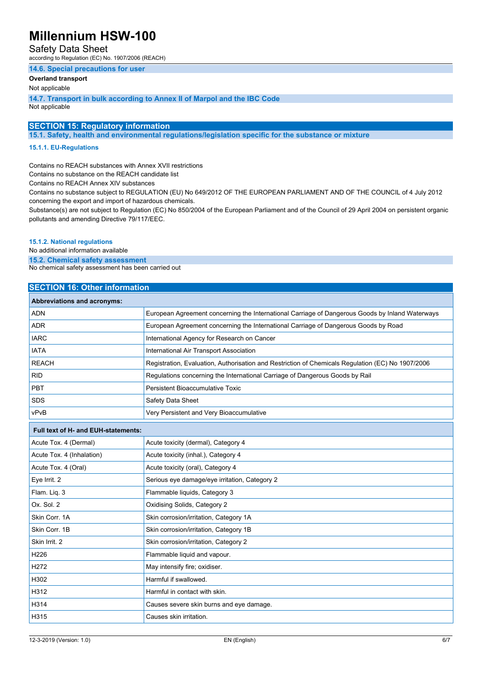### Safety Data Sheet

according to Regulation (EC) No. 1907/2006 (REACH)

#### **14.6. Special precautions for user**

**Overland transport**

Not applicable

**14.7. Transport in bulk according to Annex II of Marpol and the IBC Code** Not applicable

## **SECTION 15: Regulatory information**

**15.1. Safety, health and environmental regulations/legislation specific for the substance or mixture**

#### **15.1.1. EU-Regulations**

Contains no REACH substances with Annex XVII restrictions

Contains no substance on the REACH candidate list

Contains no REACH Annex XIV substances

Contains no substance subject to REGULATION (EU) No 649/2012 OF THE EUROPEAN PARLIAMENT AND OF THE COUNCIL of 4 July 2012 concerning the export and import of hazardous chemicals.

Substance(s) are not subject to Regulation (EC) No 850/2004 of the European Parliament and of the Council of 29 April 2004 on persistent organic pollutants and amending Directive 79/117/EEC.

#### **15.1.2. National regulations**

No additional information available

**15.2. Chemical safety assessment**

No chemical safety assessment has been carried out

### **SECTION 16: Other information**

| Abbreviations and acronyms: |                                                                                                   |
|-----------------------------|---------------------------------------------------------------------------------------------------|
| <b>ADN</b>                  | European Agreement concerning the International Carriage of Dangerous Goods by Inland Waterways   |
| <b>ADR</b>                  | European Agreement concerning the International Carriage of Dangerous Goods by Road               |
| <b>IARC</b>                 | International Agency for Research on Cancer                                                       |
| <b>IATA</b>                 | International Air Transport Association                                                           |
| <b>REACH</b>                | Registration, Evaluation, Authorisation and Restriction of Chemicals Regulation (EC) No 1907/2006 |
| <b>RID</b>                  | Regulations concerning the International Carriage of Dangerous Goods by Rail                      |
| <b>PBT</b>                  | Persistent Bioaccumulative Toxic                                                                  |
| <b>SDS</b>                  | Safety Data Sheet                                                                                 |
| vPvB                        | Very Persistent and Very Bioaccumulative                                                          |

| Full text of H- and EUH-statements: |                                               |
|-------------------------------------|-----------------------------------------------|
| Acute Tox. 4 (Dermal)               | Acute toxicity (dermal), Category 4           |
| Acute Tox. 4 (Inhalation)           | Acute toxicity (inhal.), Category 4           |
| Acute Tox. 4 (Oral)                 | Acute toxicity (oral), Category 4             |
| Eye Irrit. 2                        | Serious eye damage/eye irritation, Category 2 |
| Flam. Lig. 3                        | Flammable liquids, Category 3                 |
| Ox. Sol. 2                          | Oxidising Solids, Category 2                  |
| Skin Corr. 1A                       | Skin corrosion/irritation, Category 1A        |
| Skin Corr. 1B                       | Skin corrosion/irritation, Category 1B        |
| Skin Irrit. 2                       | Skin corrosion/irritation, Category 2         |
| H <sub>226</sub>                    | Flammable liquid and vapour.                  |
| H <sub>2</sub> 72                   | May intensify fire; oxidiser.                 |
| H302                                | Harmful if swallowed.                         |
| H312                                | Harmful in contact with skin.                 |
| H314                                | Causes severe skin burns and eye damage.      |
| H315                                | Causes skin irritation.                       |